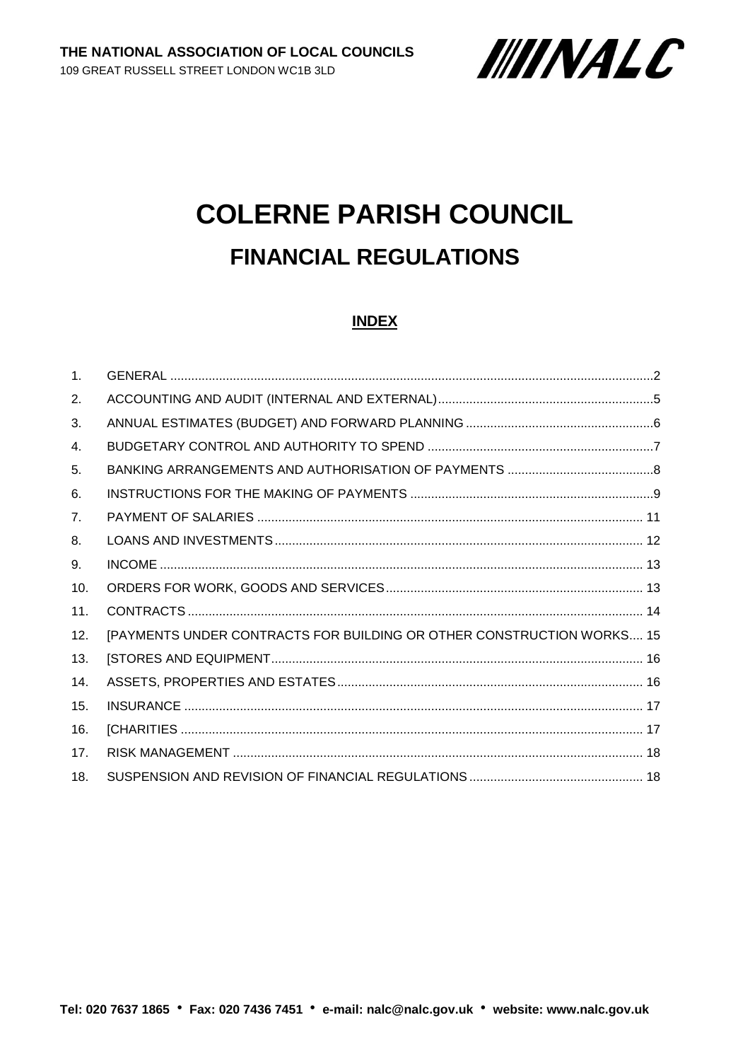

# **COLERNE PARISH COUNCIL FINANCIAL REGULATIONS**

#### **INDEX**

| $\mathbf{1}$ . |                                                                       |  |
|----------------|-----------------------------------------------------------------------|--|
| 2.             |                                                                       |  |
| 3.             |                                                                       |  |
| 4.             |                                                                       |  |
| 5.             |                                                                       |  |
| 6.             |                                                                       |  |
| 7 <sub>1</sub> |                                                                       |  |
| 8.             |                                                                       |  |
| 9.             |                                                                       |  |
| 10.            |                                                                       |  |
| 11.            |                                                                       |  |
| 12.            | [PAYMENTS UNDER CONTRACTS FOR BUILDING OR OTHER CONSTRUCTION WORKS 15 |  |
| 13.            |                                                                       |  |
| 14.            |                                                                       |  |
| 15.            |                                                                       |  |
| 16.            |                                                                       |  |
| 17.            |                                                                       |  |
| 18.            |                                                                       |  |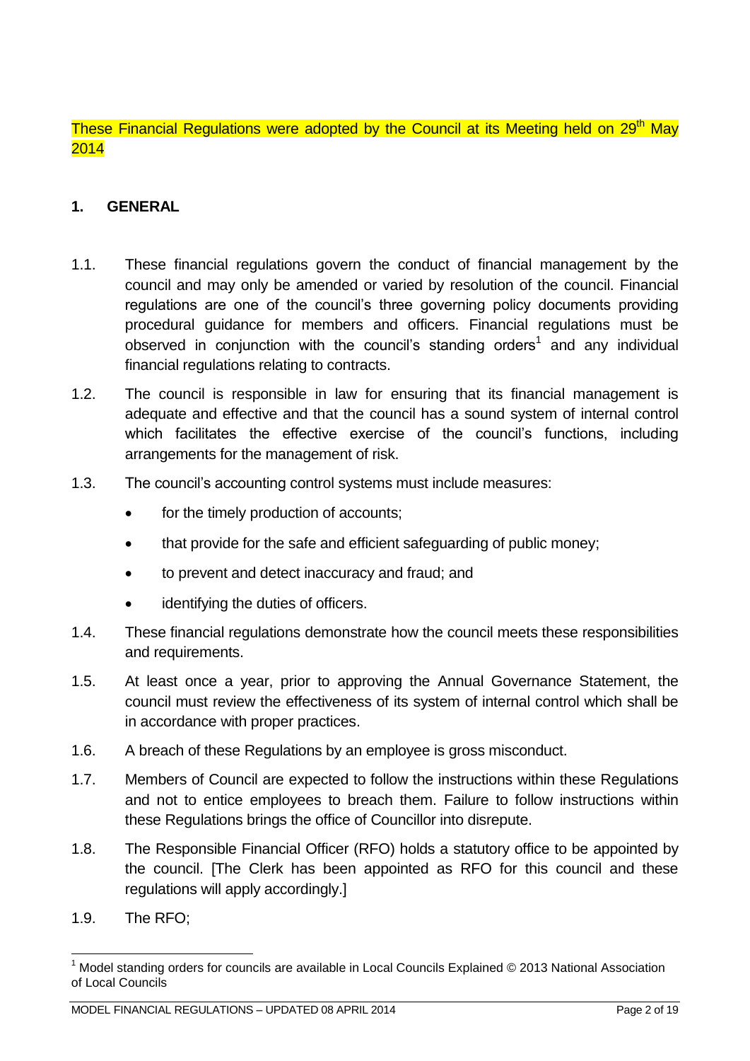These Financial Regulations were adopted by the Council at its Meeting held on 29<sup>th</sup> May 2014

#### <span id="page-1-0"></span>**1. GENERAL**

- 1.1. These financial regulations govern the conduct of financial management by the council and may only be amended or varied by resolution of the council. Financial regulations are one of the council's three governing policy documents providing procedural guidance for members and officers. Financial regulations must be observed in conjunction with the council's standing orders<sup>1</sup> and any individual financial regulations relating to contracts.
- 1.2. The council is responsible in law for ensuring that its financial management is adequate and effective and that the council has a sound system of internal control which facilitates the effective exercise of the council's functions, including arrangements for the management of risk.
- 1.3. The council's accounting control systems must include measures:
	- for the timely production of accounts;
	- that provide for the safe and efficient safeguarding of public money;
	- to prevent and detect inaccuracy and fraud; and
	- identifying the duties of officers.
- 1.4. These financial regulations demonstrate how the council meets these responsibilities and requirements.
- 1.5. At least once a year, prior to approving the Annual Governance Statement, the council must review the effectiveness of its system of internal control which shall be in accordance with proper practices.
- 1.6. A breach of these Regulations by an employee is gross misconduct.
- 1.7. Members of Council are expected to follow the instructions within these Regulations and not to entice employees to breach them. Failure to follow instructions within these Regulations brings the office of Councillor into disrepute.
- 1.8. The Responsible Financial Officer (RFO) holds a statutory office to be appointed by the council. [The Clerk has been appointed as RFO for this council and these regulations will apply accordingly.]
- 1.9. The RFO;

<u>.</u>

 $1$  Model standing orders for councils are available in Local Councils Explained  $\odot$  2013 National Association of Local Councils

MODEL FINANCIAL REGULATIONS – UPDATED 08 APRIL 2014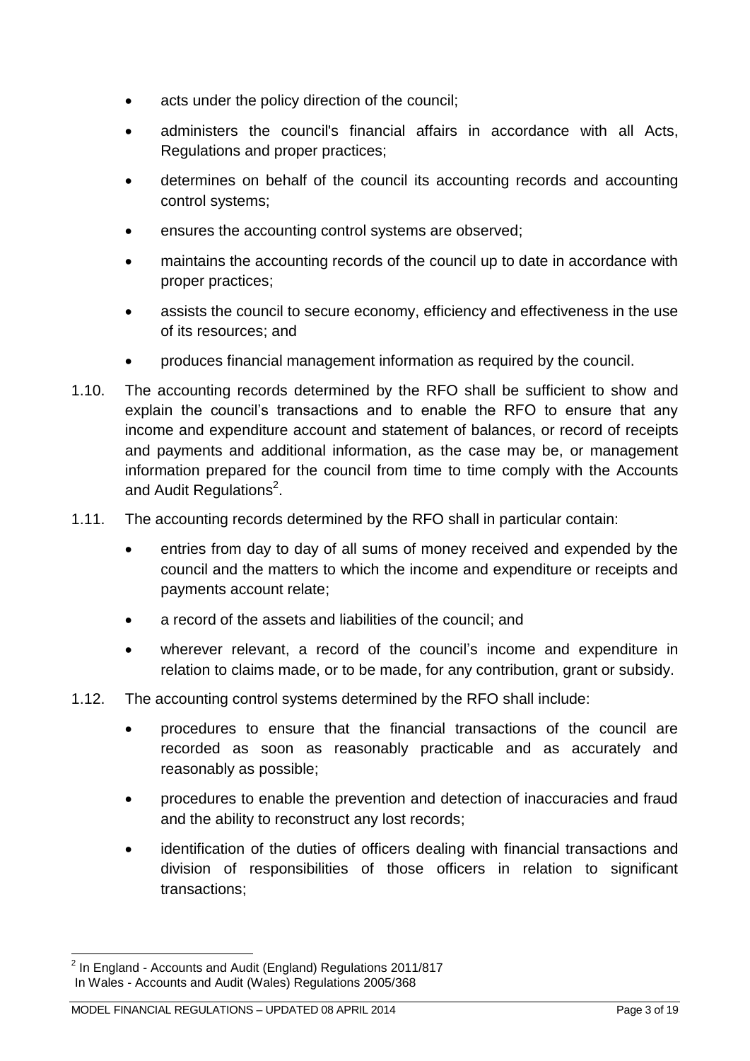- acts under the policy direction of the council;
- administers the council's financial affairs in accordance with all Acts, Regulations and proper practices;
- determines on behalf of the council its accounting records and accounting control systems;
- ensures the accounting control systems are observed;
- maintains the accounting records of the council up to date in accordance with proper practices;
- assists the council to secure economy, efficiency and effectiveness in the use of its resources; and
- produces financial management information as required by the council.
- 1.10. The accounting records determined by the RFO shall be sufficient to show and explain the council's transactions and to enable the RFO to ensure that any income and expenditure account and statement of balances, or record of receipts and payments and additional information, as the case may be, or management information prepared for the council from time to time comply with the Accounts and Audit Regulations<sup>2</sup>.
- 1.11. The accounting records determined by the RFO shall in particular contain:
	- entries from day to day of all sums of money received and expended by the council and the matters to which the income and expenditure or receipts and payments account relate;
	- a record of the assets and liabilities of the council; and
	- wherever relevant, a record of the council's income and expenditure in relation to claims made, or to be made, for any contribution, grant or subsidy.
- 1.12. The accounting control systems determined by the RFO shall include:
	- procedures to ensure that the financial transactions of the council are recorded as soon as reasonably practicable and as accurately and reasonably as possible;
	- procedures to enable the prevention and detection of inaccuracies and fraud and the ability to reconstruct any lost records;
	- identification of the duties of officers dealing with financial transactions and division of responsibilities of those officers in relation to significant transactions;

 2 In England - Accounts and Audit (England) Regulations 2011/817 In Wales - Accounts and Audit (Wales) Regulations 2005/368

MODEL FINANCIAL REGULATIONS – UPDATED 08 APRIL 2014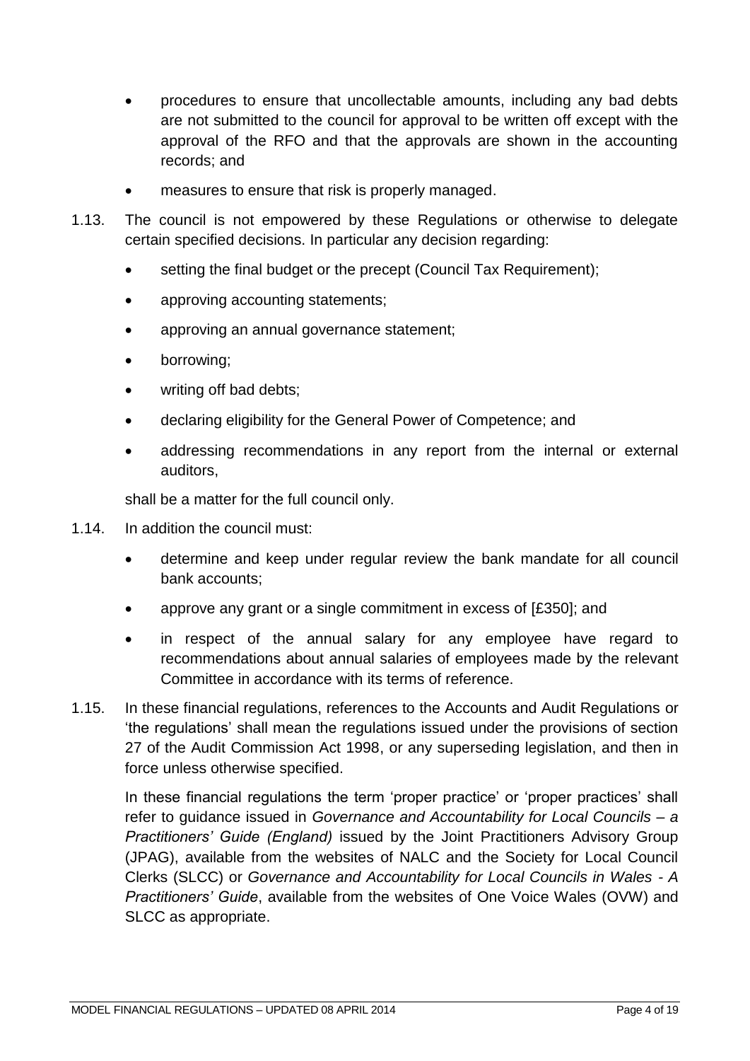- procedures to ensure that uncollectable amounts, including any bad debts are not submitted to the council for approval to be written off except with the approval of the RFO and that the approvals are shown in the accounting records; and
- measures to ensure that risk is properly managed.
- 1.13. The council is not empowered by these Regulations or otherwise to delegate certain specified decisions. In particular any decision regarding:
	- setting the final budget or the precept (Council Tax Requirement);
	- approving accounting statements;
	- approving an annual governance statement;
	- borrowing;
	- writing off bad debts;
	- declaring eligibility for the General Power of Competence; and
	- addressing recommendations in any report from the internal or external auditors,

shall be a matter for the full council only.

- 1.14. In addition the council must:
	- determine and keep under regular review the bank mandate for all council bank accounts;
	- approve any grant or a single commitment in excess of [£350]; and
	- in respect of the annual salary for any employee have regard to recommendations about annual salaries of employees made by the relevant Committee in accordance with its terms of reference.
- 1.15. In these financial regulations, references to the Accounts and Audit Regulations or 'the regulations' shall mean the regulations issued under the provisions of section 27 of the Audit Commission Act 1998, or any superseding legislation, and then in force unless otherwise specified.

In these financial regulations the term 'proper practice' or 'proper practices' shall refer to guidance issued in *Governance and Accountability for Local Councils – a Practitioners' Guide (England)* issued by the Joint Practitioners Advisory Group (JPAG), available from the websites of NALC and the Society for Local Council Clerks (SLCC) or *Governance and Accountability for Local Councils in Wales - A Practitioners' Guide*, available from the websites of One Voice Wales (OVW) and SLCC as appropriate.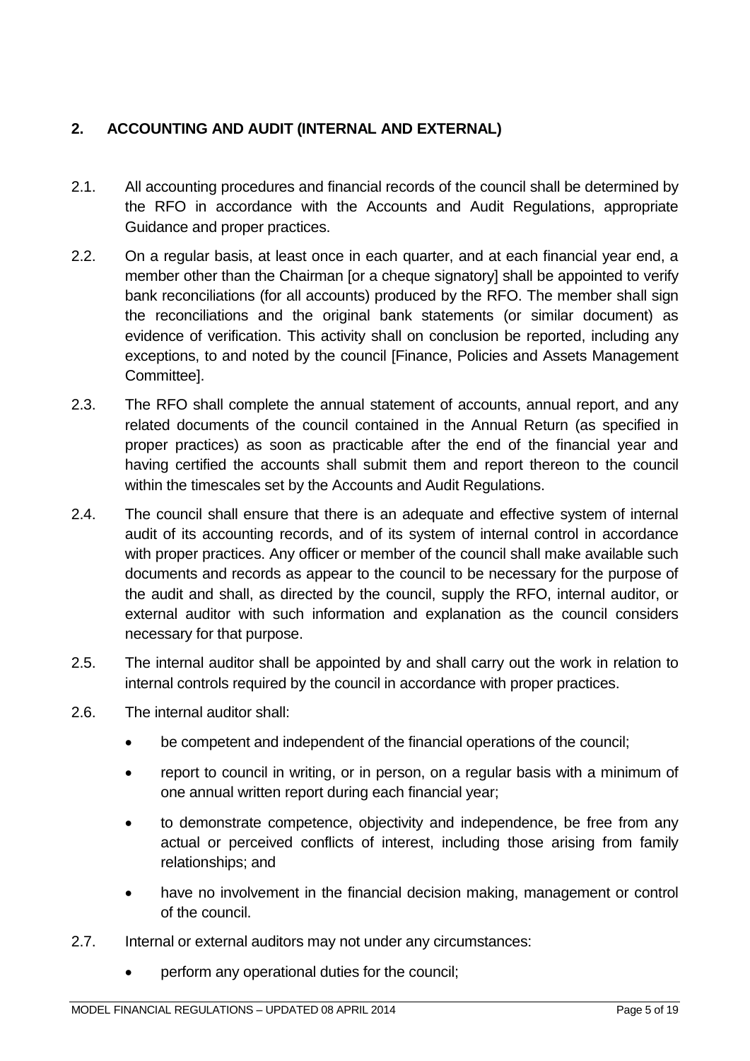# <span id="page-4-0"></span>**2. ACCOUNTING AND AUDIT (INTERNAL AND EXTERNAL)**

- 2.1. All accounting procedures and financial records of the council shall be determined by the RFO in accordance with the Accounts and Audit Regulations, appropriate Guidance and proper practices.
- 2.2. On a regular basis, at least once in each quarter, and at each financial year end, a member other than the Chairman [or a cheque signatory] shall be appointed to verify bank reconciliations (for all accounts) produced by the RFO. The member shall sign the reconciliations and the original bank statements (or similar document) as evidence of verification. This activity shall on conclusion be reported, including any exceptions, to and noted by the council [Finance, Policies and Assets Management Committee].
- 2.3. The RFO shall complete the annual statement of accounts, annual report, and any related documents of the council contained in the Annual Return (as specified in proper practices) as soon as practicable after the end of the financial year and having certified the accounts shall submit them and report thereon to the council within the timescales set by the Accounts and Audit Regulations.
- 2.4. The council shall ensure that there is an adequate and effective system of internal audit of its accounting records, and of its system of internal control in accordance with proper practices. Any officer or member of the council shall make available such documents and records as appear to the council to be necessary for the purpose of the audit and shall, as directed by the council, supply the RFO, internal auditor, or external auditor with such information and explanation as the council considers necessary for that purpose.
- 2.5. The internal auditor shall be appointed by and shall carry out the work in relation to internal controls required by the council in accordance with proper practices.
- 2.6. The internal auditor shall:
	- be competent and independent of the financial operations of the council;
	- report to council in writing, or in person, on a regular basis with a minimum of one annual written report during each financial year;
	- to demonstrate competence, objectivity and independence, be free from any actual or perceived conflicts of interest, including those arising from family relationships; and
	- have no involvement in the financial decision making, management or control of the council.
- 2.7. Internal or external auditors may not under any circumstances:
	- perform any operational duties for the council;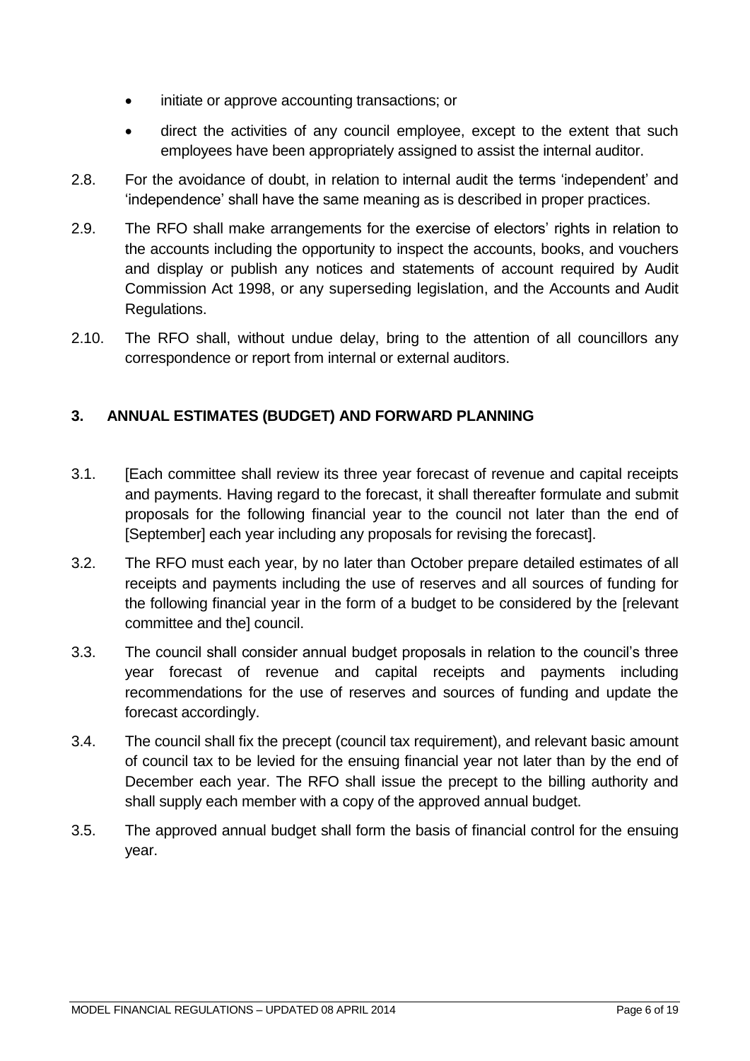- initiate or approve accounting transactions; or
- direct the activities of any council employee, except to the extent that such employees have been appropriately assigned to assist the internal auditor.
- 2.8. For the avoidance of doubt, in relation to internal audit the terms 'independent' and 'independence' shall have the same meaning as is described in proper practices.
- 2.9. The RFO shall make arrangements for the exercise of electors' rights in relation to the accounts including the opportunity to inspect the accounts, books, and vouchers and display or publish any notices and statements of account required by Audit Commission Act 1998, or any superseding legislation, and the Accounts and Audit Regulations.
- 2.10. The RFO shall, without undue delay, bring to the attention of all councillors any correspondence or report from internal or external auditors.

## <span id="page-5-0"></span>**3. ANNUAL ESTIMATES (BUDGET) AND FORWARD PLANNING**

- 3.1. [Each committee shall review its three year forecast of revenue and capital receipts and payments. Having regard to the forecast, it shall thereafter formulate and submit proposals for the following financial year to the council not later than the end of [September] each year including any proposals for revising the forecast].
- 3.2. The RFO must each year, by no later than October prepare detailed estimates of all receipts and payments including the use of reserves and all sources of funding for the following financial year in the form of a budget to be considered by the [relevant committee and the] council.
- 3.3. The council shall consider annual budget proposals in relation to the council's three year forecast of revenue and capital receipts and payments including recommendations for the use of reserves and sources of funding and update the forecast accordingly.
- 3.4. The council shall fix the precept (council tax requirement), and relevant basic amount of council tax to be levied for the ensuing financial year not later than by the end of December each year. The RFO shall issue the precept to the billing authority and shall supply each member with a copy of the approved annual budget.
- 3.5. The approved annual budget shall form the basis of financial control for the ensuing year.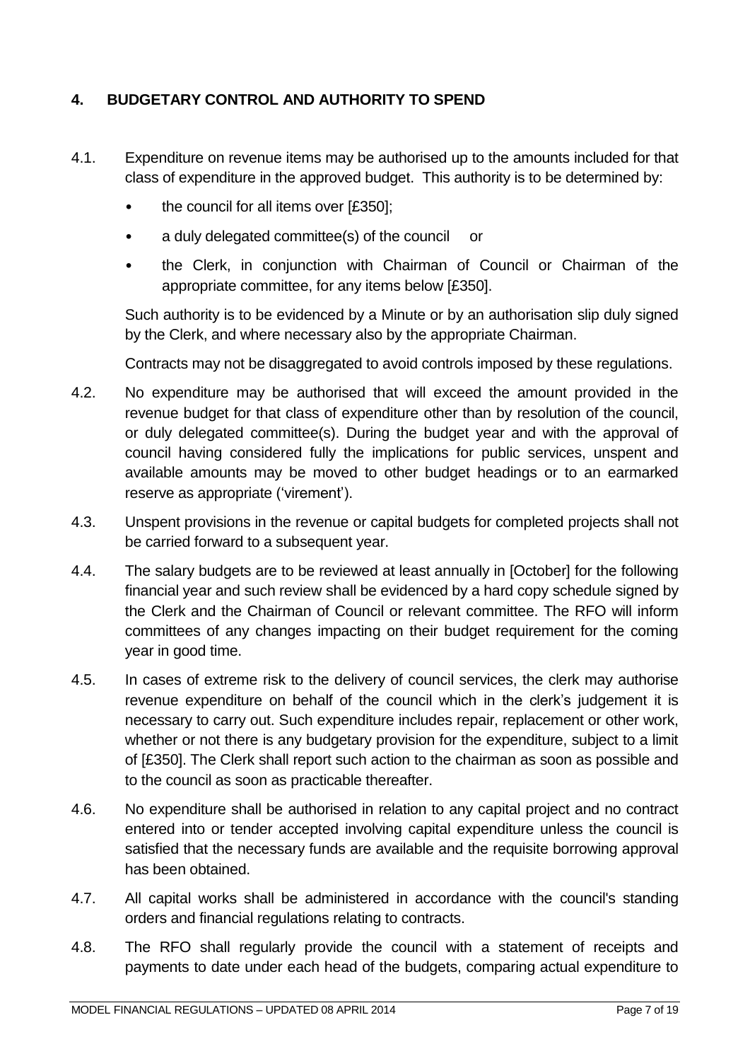# <span id="page-6-0"></span>**4. BUDGETARY CONTROL AND AUTHORITY TO SPEND**

- 4.1. Expenditure on revenue items may be authorised up to the amounts included for that class of expenditure in the approved budget. This authority is to be determined by:
	- the council for all items over [£350];
	- a duly delegated committee(s) of the council or
	- the Clerk, in conjunction with Chairman of Council or Chairman of the appropriate committee, for any items below [£350].

Such authority is to be evidenced by a Minute or by an authorisation slip duly signed by the Clerk, and where necessary also by the appropriate Chairman.

Contracts may not be disaggregated to avoid controls imposed by these regulations.

- 4.2. No expenditure may be authorised that will exceed the amount provided in the revenue budget for that class of expenditure other than by resolution of the council, or duly delegated committee(s). During the budget year and with the approval of council having considered fully the implications for public services, unspent and available amounts may be moved to other budget headings or to an earmarked reserve as appropriate ('virement').
- 4.3. Unspent provisions in the revenue or capital budgets for completed projects shall not be carried forward to a subsequent year.
- 4.4. The salary budgets are to be reviewed at least annually in [October] for the following financial year and such review shall be evidenced by a hard copy schedule signed by the Clerk and the Chairman of Council or relevant committee. The RFO will inform committees of any changes impacting on their budget requirement for the coming year in good time.
- 4.5. In cases of extreme risk to the delivery of council services, the clerk may authorise revenue expenditure on behalf of the council which in the clerk's judgement it is necessary to carry out. Such expenditure includes repair, replacement or other work, whether or not there is any budgetary provision for the expenditure, subject to a limit of [£350]. The Clerk shall report such action to the chairman as soon as possible and to the council as soon as practicable thereafter.
- 4.6. No expenditure shall be authorised in relation to any capital project and no contract entered into or tender accepted involving capital expenditure unless the council is satisfied that the necessary funds are available and the requisite borrowing approval has been obtained.
- 4.7. All capital works shall be administered in accordance with the council's standing orders and financial regulations relating to contracts.
- 4.8. The RFO shall regularly provide the council with a statement of receipts and payments to date under each head of the budgets, comparing actual expenditure to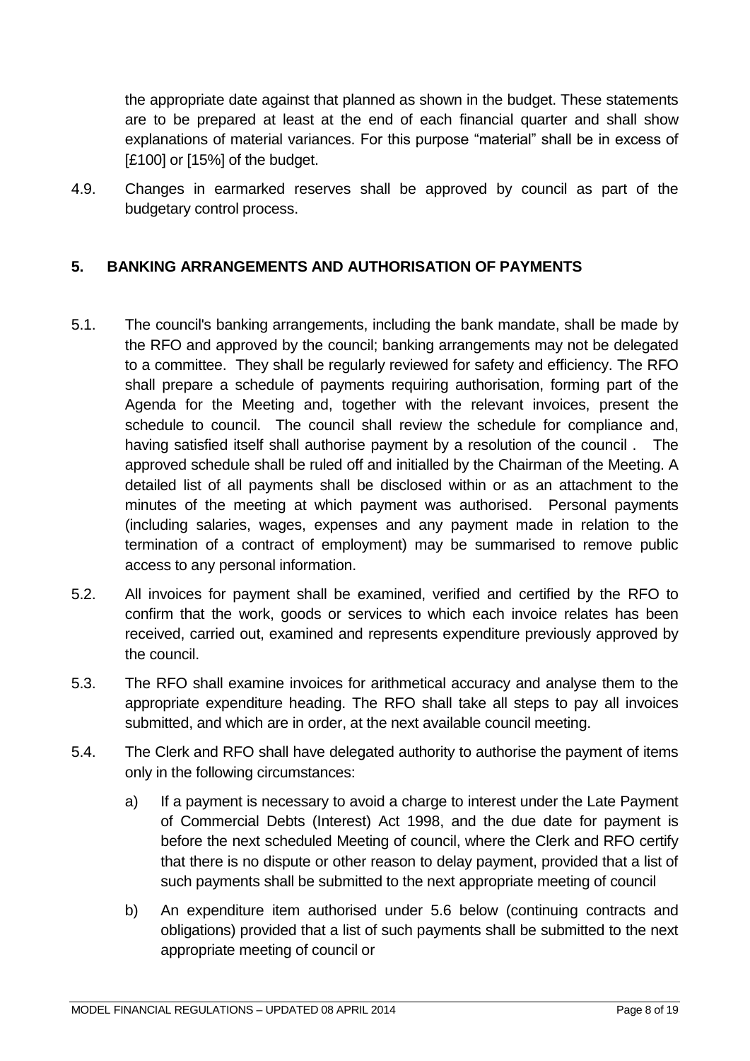the appropriate date against that planned as shown in the budget. These statements are to be prepared at least at the end of each financial quarter and shall show explanations of material variances. For this purpose "material" shall be in excess of [£100] or [15%] of the budget.

4.9. Changes in earmarked reserves shall be approved by council as part of the budgetary control process.

## <span id="page-7-0"></span>**5. BANKING ARRANGEMENTS AND AUTHORISATION OF PAYMENTS**

- 5.1. The council's banking arrangements, including the bank mandate, shall be made by the RFO and approved by the council; banking arrangements may not be delegated to a committee. They shall be regularly reviewed for safety and efficiency. The RFO shall prepare a schedule of payments requiring authorisation, forming part of the Agenda for the Meeting and, together with the relevant invoices, present the schedule to council. The council shall review the schedule for compliance and, having satisfied itself shall authorise payment by a resolution of the council . The approved schedule shall be ruled off and initialled by the Chairman of the Meeting. A detailed list of all payments shall be disclosed within or as an attachment to the minutes of the meeting at which payment was authorised. Personal payments (including salaries, wages, expenses and any payment made in relation to the termination of a contract of employment) may be summarised to remove public access to any personal information.
- 5.2. All invoices for payment shall be examined, verified and certified by the RFO to confirm that the work, goods or services to which each invoice relates has been received, carried out, examined and represents expenditure previously approved by the council.
- 5.3. The RFO shall examine invoices for arithmetical accuracy and analyse them to the appropriate expenditure heading. The RFO shall take all steps to pay all invoices submitted, and which are in order, at the next available council meeting.
- 5.4. The Clerk and RFO shall have delegated authority to authorise the payment of items only in the following circumstances:
	- a) If a payment is necessary to avoid a charge to interest under the Late Payment of Commercial Debts (Interest) Act 1998, and the due date for payment is before the next scheduled Meeting of council, where the Clerk and RFO certify that there is no dispute or other reason to delay payment, provided that a list of such payments shall be submitted to the next appropriate meeting of council
	- b) An expenditure item authorised under 5.6 below (continuing contracts and obligations) provided that a list of such payments shall be submitted to the next appropriate meeting of council or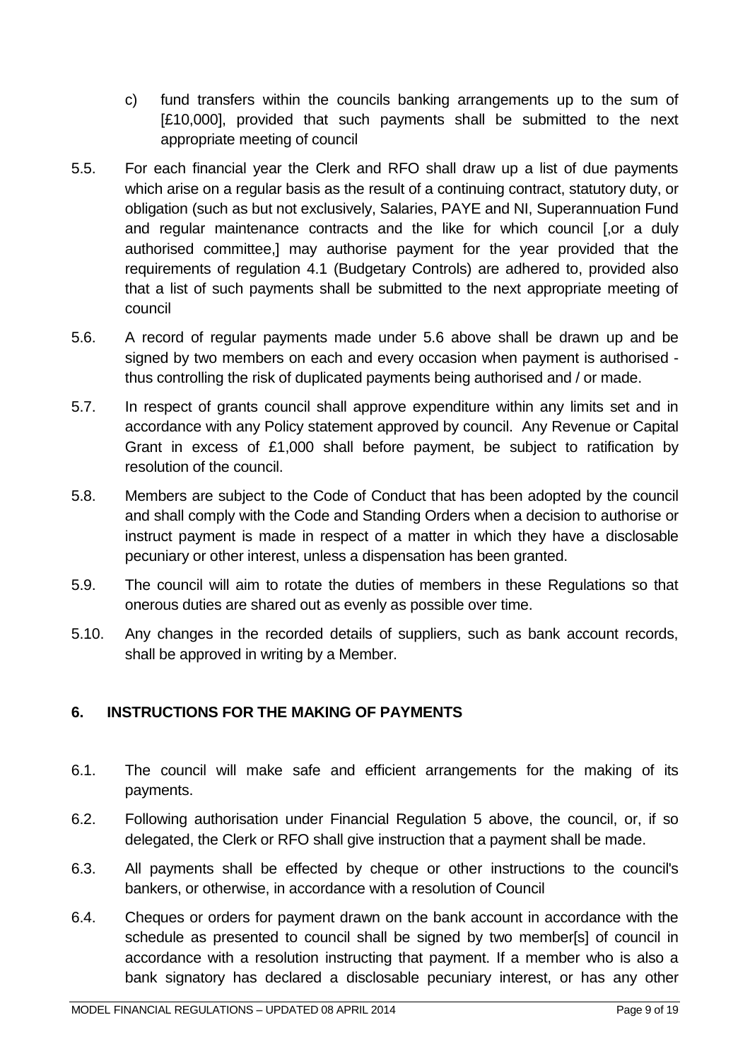- c) fund transfers within the councils banking arrangements up to the sum of [£10,000], provided that such payments shall be submitted to the next appropriate meeting of council
- 5.5. For each financial year the Clerk and RFO shall draw up a list of due payments which arise on a regular basis as the result of a continuing contract, statutory duty, or obligation (such as but not exclusively, Salaries, PAYE and NI, Superannuation Fund and regular maintenance contracts and the like for which council [.or a duly authorised committee,] may authorise payment for the year provided that the requirements of regulation 4.1 (Budgetary Controls) are adhered to, provided also that a list of such payments shall be submitted to the next appropriate meeting of council
- 5.6. A record of regular payments made under 5.6 above shall be drawn up and be signed by two members on each and every occasion when payment is authorised thus controlling the risk of duplicated payments being authorised and / or made.
- 5.7. In respect of grants council shall approve expenditure within any limits set and in accordance with any Policy statement approved by council. Any Revenue or Capital Grant in excess of £1,000 shall before payment, be subject to ratification by resolution of the council.
- 5.8. Members are subject to the Code of Conduct that has been adopted by the council and shall comply with the Code and Standing Orders when a decision to authorise or instruct payment is made in respect of a matter in which they have a disclosable pecuniary or other interest, unless a dispensation has been granted.
- 5.9. The council will aim to rotate the duties of members in these Regulations so that onerous duties are shared out as evenly as possible over time.
- 5.10. Any changes in the recorded details of suppliers, such as bank account records, shall be approved in writing by a Member.

# <span id="page-8-0"></span>**6. INSTRUCTIONS FOR THE MAKING OF PAYMENTS**

- 6.1. The council will make safe and efficient arrangements for the making of its payments.
- 6.2. Following authorisation under Financial Regulation 5 above, the council, or, if so delegated, the Clerk or RFO shall give instruction that a payment shall be made.
- 6.3. All payments shall be effected by cheque or other instructions to the council's bankers, or otherwise, in accordance with a resolution of Council
- 6.4. Cheques or orders for payment drawn on the bank account in accordance with the schedule as presented to council shall be signed by two member[s] of council in accordance with a resolution instructing that payment. If a member who is also a bank signatory has declared a disclosable pecuniary interest, or has any other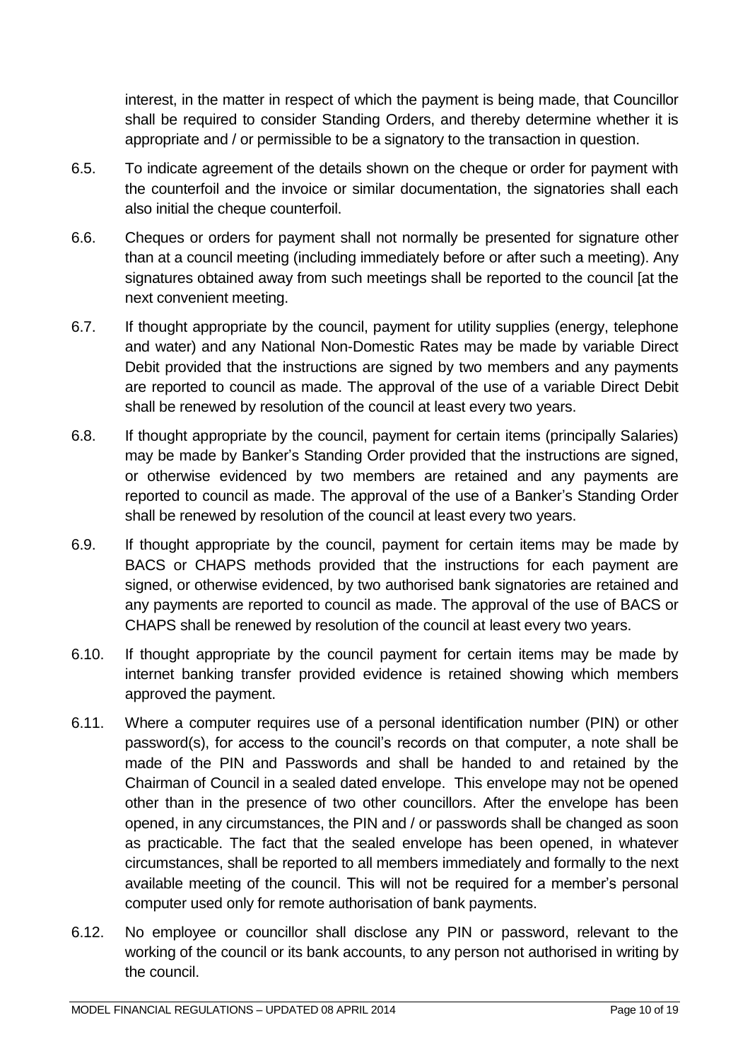interest, in the matter in respect of which the payment is being made, that Councillor shall be required to consider Standing Orders, and thereby determine whether it is appropriate and / or permissible to be a signatory to the transaction in question.

- 6.5. To indicate agreement of the details shown on the cheque or order for payment with the counterfoil and the invoice or similar documentation, the signatories shall each also initial the cheque counterfoil.
- 6.6. Cheques or orders for payment shall not normally be presented for signature other than at a council meeting (including immediately before or after such a meeting). Any signatures obtained away from such meetings shall be reported to the council [at the next convenient meeting.
- 6.7. If thought appropriate by the council, payment for utility supplies (energy, telephone and water) and any National Non-Domestic Rates may be made by variable Direct Debit provided that the instructions are signed by two members and any payments are reported to council as made. The approval of the use of a variable Direct Debit shall be renewed by resolution of the council at least every two years.
- 6.8. If thought appropriate by the council, payment for certain items (principally Salaries) may be made by Banker's Standing Order provided that the instructions are signed, or otherwise evidenced by two members are retained and any payments are reported to council as made. The approval of the use of a Banker's Standing Order shall be renewed by resolution of the council at least every two years.
- 6.9. If thought appropriate by the council, payment for certain items may be made by BACS or CHAPS methods provided that the instructions for each payment are signed, or otherwise evidenced, by two authorised bank signatories are retained and any payments are reported to council as made. The approval of the use of BACS or CHAPS shall be renewed by resolution of the council at least every two years.
- 6.10. If thought appropriate by the council payment for certain items may be made by internet banking transfer provided evidence is retained showing which members approved the payment.
- 6.11. Where a computer requires use of a personal identification number (PIN) or other password(s), for access to the council's records on that computer, a note shall be made of the PIN and Passwords and shall be handed to and retained by the Chairman of Council in a sealed dated envelope. This envelope may not be opened other than in the presence of two other councillors. After the envelope has been opened, in any circumstances, the PIN and / or passwords shall be changed as soon as practicable. The fact that the sealed envelope has been opened, in whatever circumstances, shall be reported to all members immediately and formally to the next available meeting of the council. This will not be required for a member's personal computer used only for remote authorisation of bank payments.
- 6.12. No employee or councillor shall disclose any PIN or password, relevant to the working of the council or its bank accounts, to any person not authorised in writing by the council.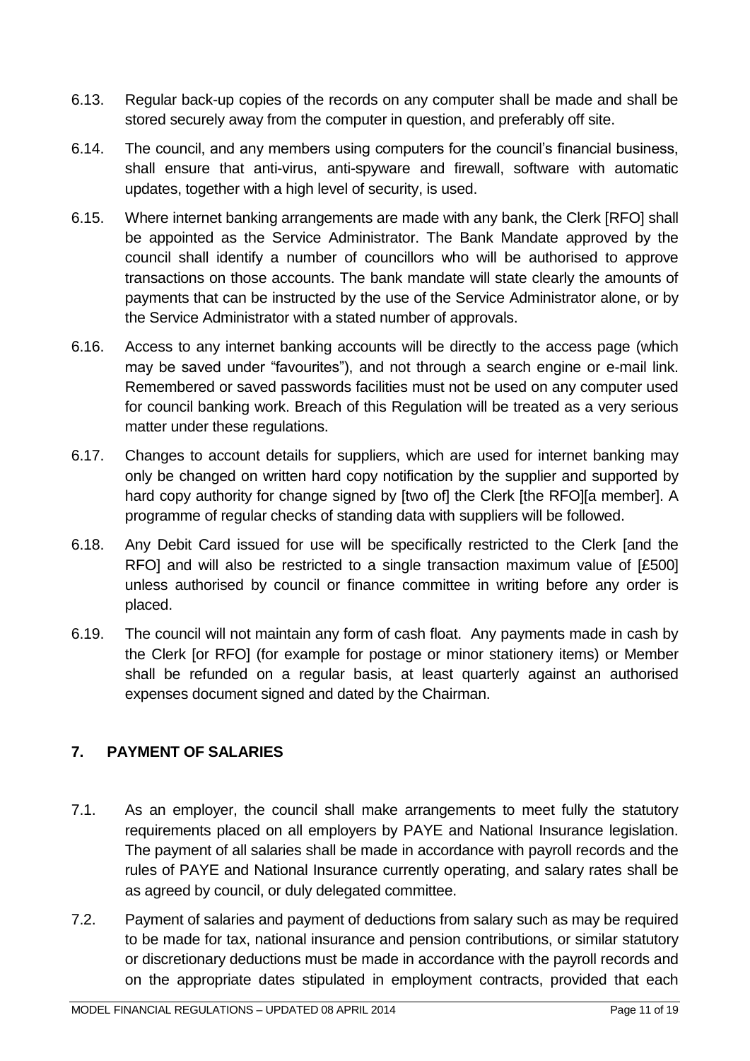- 6.13. Regular back-up copies of the records on any computer shall be made and shall be stored securely away from the computer in question, and preferably off site.
- 6.14. The council, and any members using computers for the council's financial business, shall ensure that anti-virus, anti-spyware and firewall, software with automatic updates, together with a high level of security, is used.
- 6.15. Where internet banking arrangements are made with any bank, the Clerk [RFO] shall be appointed as the Service Administrator. The Bank Mandate approved by the council shall identify a number of councillors who will be authorised to approve transactions on those accounts. The bank mandate will state clearly the amounts of payments that can be instructed by the use of the Service Administrator alone, or by the Service Administrator with a stated number of approvals.
- 6.16. Access to any internet banking accounts will be directly to the access page (which may be saved under "favourites"), and not through a search engine or e-mail link. Remembered or saved passwords facilities must not be used on any computer used for council banking work. Breach of this Regulation will be treated as a very serious matter under these regulations.
- 6.17. Changes to account details for suppliers, which are used for internet banking may only be changed on written hard copy notification by the supplier and supported by hard copy authority for change signed by [two of] the Clerk [the RFO][a member]. A programme of regular checks of standing data with suppliers will be followed.
- 6.18. Any Debit Card issued for use will be specifically restricted to the Clerk [and the RFO] and will also be restricted to a single transaction maximum value of [£500] unless authorised by council or finance committee in writing before any order is placed.
- 6.19. The council will not maintain any form of cash float. Any payments made in cash by the Clerk [or RFO] (for example for postage or minor stationery items) or Member shall be refunded on a regular basis, at least quarterly against an authorised expenses document signed and dated by the Chairman.

# <span id="page-10-0"></span>**7. PAYMENT OF SALARIES**

- 7.1. As an employer, the council shall make arrangements to meet fully the statutory requirements placed on all employers by PAYE and National Insurance legislation. The payment of all salaries shall be made in accordance with payroll records and the rules of PAYE and National Insurance currently operating, and salary rates shall be as agreed by council, or duly delegated committee.
- 7.2. Payment of salaries and payment of deductions from salary such as may be required to be made for tax, national insurance and pension contributions, or similar statutory or discretionary deductions must be made in accordance with the payroll records and on the appropriate dates stipulated in employment contracts, provided that each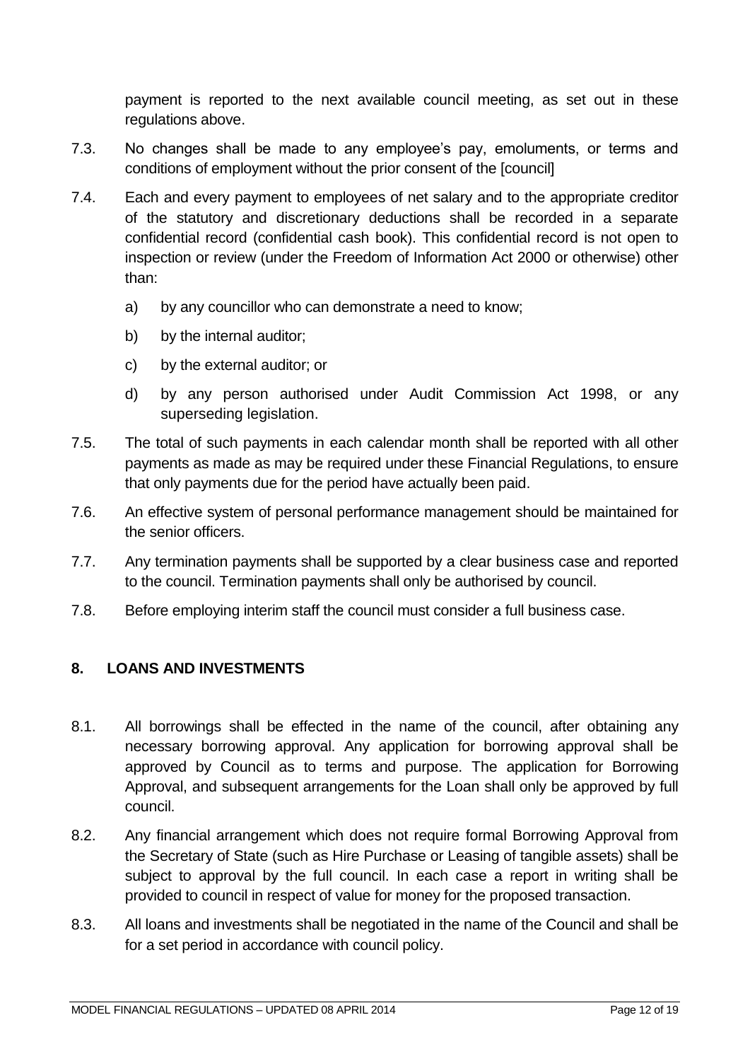payment is reported to the next available council meeting, as set out in these regulations above.

- 7.3. No changes shall be made to any employee's pay, emoluments, or terms and conditions of employment without the prior consent of the [council]
- 7.4. Each and every payment to employees of net salary and to the appropriate creditor of the statutory and discretionary deductions shall be recorded in a separate confidential record (confidential cash book). This confidential record is not open to inspection or review (under the Freedom of Information Act 2000 or otherwise) other than:
	- a) by any councillor who can demonstrate a need to know;
	- b) by the internal auditor;
	- c) by the external auditor; or
	- d) by any person authorised under Audit Commission Act 1998, or any superseding legislation.
- 7.5. The total of such payments in each calendar month shall be reported with all other payments as made as may be required under these Financial Regulations, to ensure that only payments due for the period have actually been paid.
- 7.6. An effective system of personal performance management should be maintained for the senior officers.
- 7.7. Any termination payments shall be supported by a clear business case and reported to the council. Termination payments shall only be authorised by council.
- 7.8. Before employing interim staff the council must consider a full business case.

# <span id="page-11-0"></span>**8. LOANS AND INVESTMENTS**

- 8.1. All borrowings shall be effected in the name of the council, after obtaining any necessary borrowing approval. Any application for borrowing approval shall be approved by Council as to terms and purpose. The application for Borrowing Approval, and subsequent arrangements for the Loan shall only be approved by full council.
- 8.2. Any financial arrangement which does not require formal Borrowing Approval from the Secretary of State (such as Hire Purchase or Leasing of tangible assets) shall be subject to approval by the full council. In each case a report in writing shall be provided to council in respect of value for money for the proposed transaction.
- 8.3. All loans and investments shall be negotiated in the name of the Council and shall be for a set period in accordance with council policy.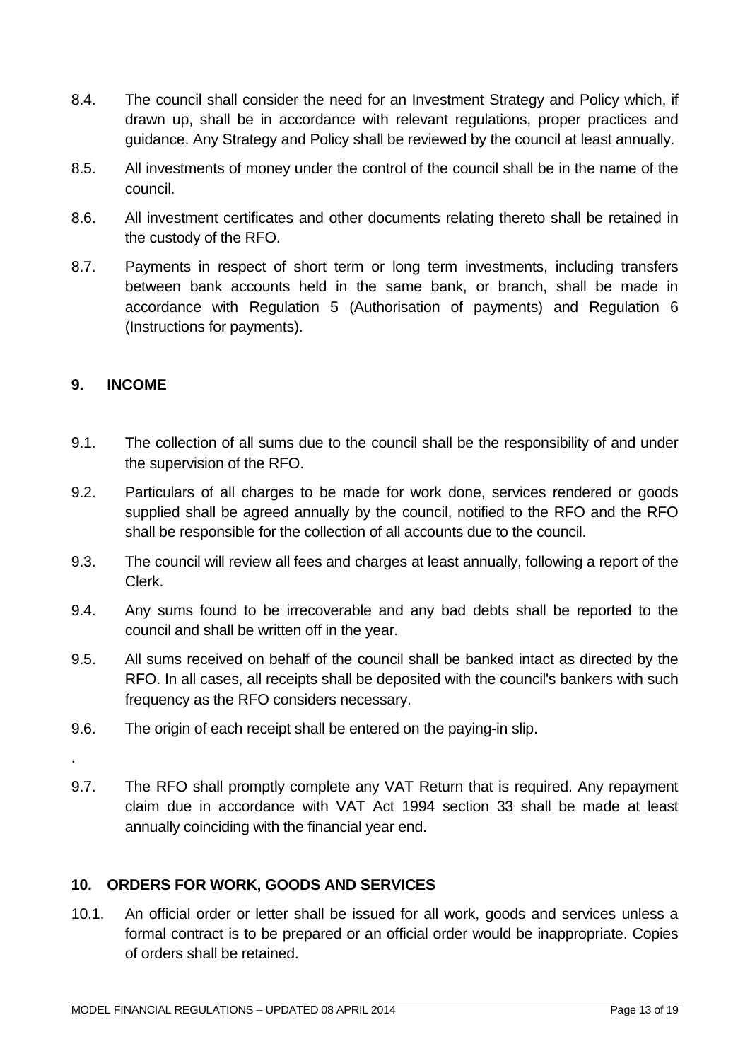- 8.4. The council shall consider the need for an Investment Strategy and Policy which, if drawn up, shall be in accordance with relevant regulations, proper practices and guidance. Any Strategy and Policy shall be reviewed by the council at least annually.
- 8.5. All investments of money under the control of the council shall be in the name of the council.
- 8.6. All investment certificates and other documents relating thereto shall be retained in the custody of the RFO.
- 8.7. Payments in respect of short term or long term investments, including transfers between bank accounts held in the same bank, or branch, shall be made in accordance with Regulation 5 (Authorisation of payments) and Regulation 6 (Instructions for payments).

## <span id="page-12-0"></span>**9. INCOME**

- 9.1. The collection of all sums due to the council shall be the responsibility of and under the supervision of the RFO.
- 9.2. Particulars of all charges to be made for work done, services rendered or goods supplied shall be agreed annually by the council, notified to the RFO and the RFO shall be responsible for the collection of all accounts due to the council.
- 9.3. The council will review all fees and charges at least annually, following a report of the Clerk.
- 9.4. Any sums found to be irrecoverable and any bad debts shall be reported to the council and shall be written off in the year.
- 9.5. All sums received on behalf of the council shall be banked intact as directed by the RFO. In all cases, all receipts shall be deposited with the council's bankers with such frequency as the RFO considers necessary.
- 9.6. The origin of each receipt shall be entered on the paying-in slip.
- .
- 9.7. The RFO shall promptly complete any VAT Return that is required. Any repayment claim due in accordance with VAT Act 1994 section 33 shall be made at least annually coinciding with the financial year end.

#### <span id="page-12-1"></span>**10. ORDERS FOR WORK, GOODS AND SERVICES**

10.1. An official order or letter shall be issued for all work, goods and services unless a formal contract is to be prepared or an official order would be inappropriate. Copies of orders shall be retained.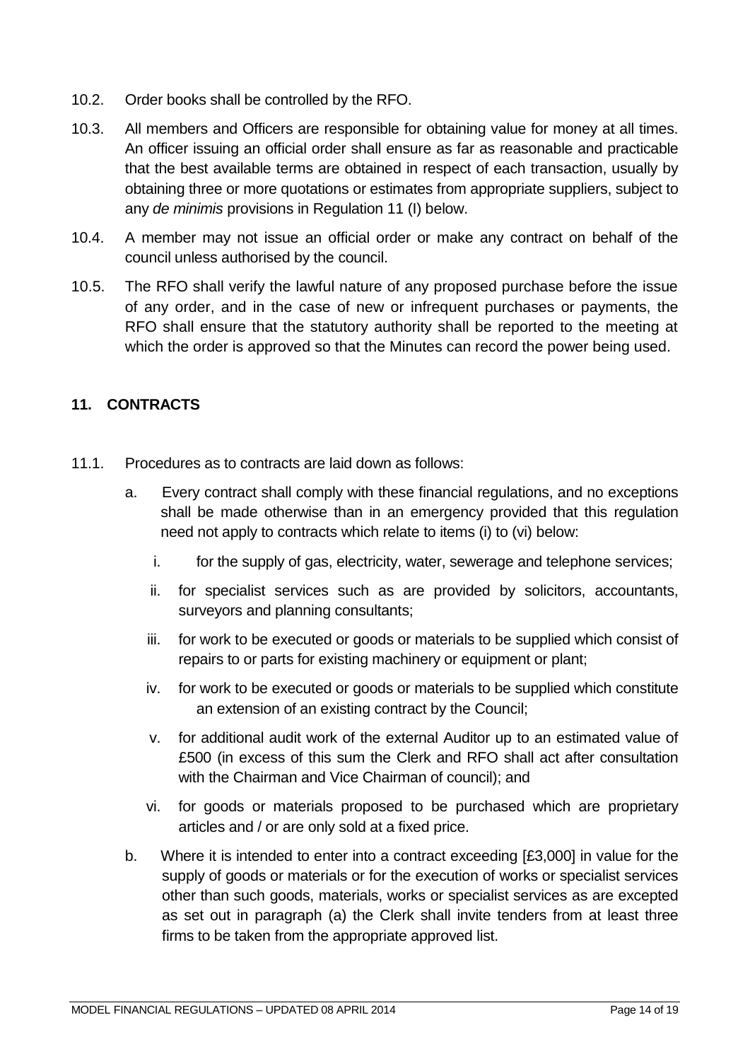- 10.2. Order books shall be controlled by the RFO.
- 10.3. All members and Officers are responsible for obtaining value for money at all times. An officer issuing an official order shall ensure as far as reasonable and practicable that the best available terms are obtained in respect of each transaction, usually by obtaining three or more quotations or estimates from appropriate suppliers, subject to any *de minimis* provisions in Regulation 11 (I) below.
- 10.4. A member may not issue an official order or make any contract on behalf of the council unless authorised by the council.
- 10.5. The RFO shall verify the lawful nature of any proposed purchase before the issue of any order, and in the case of new or infrequent purchases or payments, the RFO shall ensure that the statutory authority shall be reported to the meeting at which the order is approved so that the Minutes can record the power being used.

## <span id="page-13-0"></span>**11. CONTRACTS**

- 11.1. Procedures as to contracts are laid down as follows:
	- a. Every contract shall comply with these financial regulations, and no exceptions shall be made otherwise than in an emergency provided that this regulation need not apply to contracts which relate to items (i) to (vi) below:
		- i. for the supply of gas, electricity, water, sewerage and telephone services;
		- ii. for specialist services such as are provided by solicitors, accountants, surveyors and planning consultants;
		- iii. for work to be executed or goods or materials to be supplied which consist of repairs to or parts for existing machinery or equipment or plant;
		- iv. for work to be executed or goods or materials to be supplied which constitute an extension of an existing contract by the Council;
		- v. for additional audit work of the external Auditor up to an estimated value of £500 (in excess of this sum the Clerk and RFO shall act after consultation with the Chairman and Vice Chairman of council); and
		- vi. for goods or materials proposed to be purchased which are proprietary articles and / or are only sold at a fixed price.
	- b. Where it is intended to enter into a contract exceeding [£3,000] in value for the supply of goods or materials or for the execution of works or specialist services other than such goods, materials, works or specialist services as are excepted as set out in paragraph (a) the Clerk shall invite tenders from at least three firms to be taken from the appropriate approved list.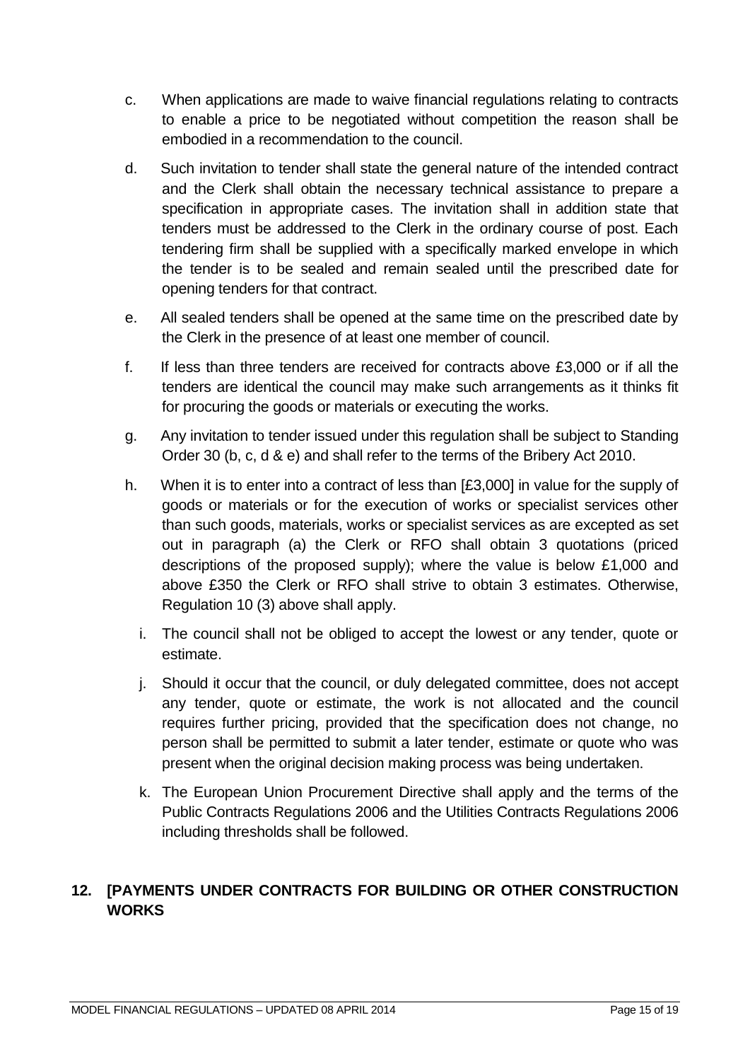- c. When applications are made to waive financial regulations relating to contracts to enable a price to be negotiated without competition the reason shall be embodied in a recommendation to the council.
- d. Such invitation to tender shall state the general nature of the intended contract and the Clerk shall obtain the necessary technical assistance to prepare a specification in appropriate cases. The invitation shall in addition state that tenders must be addressed to the Clerk in the ordinary course of post. Each tendering firm shall be supplied with a specifically marked envelope in which the tender is to be sealed and remain sealed until the prescribed date for opening tenders for that contract.
- e. All sealed tenders shall be opened at the same time on the prescribed date by the Clerk in the presence of at least one member of council.
- f. If less than three tenders are received for contracts above £3,000 or if all the tenders are identical the council may make such arrangements as it thinks fit for procuring the goods or materials or executing the works.
- g. Any invitation to tender issued under this regulation shall be subject to Standing Order 30 (b, c, d & e) and shall refer to the terms of the Bribery Act 2010.
- h. When it is to enter into a contract of less than [£3,000] in value for the supply of goods or materials or for the execution of works or specialist services other than such goods, materials, works or specialist services as are excepted as set out in paragraph (a) the Clerk or RFO shall obtain 3 quotations (priced descriptions of the proposed supply); where the value is below £1,000 and above £350 the Clerk or RFO shall strive to obtain 3 estimates. Otherwise, Regulation 10 (3) above shall apply.
	- i. The council shall not be obliged to accept the lowest or any tender, quote or estimate.
	- j. Should it occur that the council, or duly delegated committee, does not accept any tender, quote or estimate, the work is not allocated and the council requires further pricing, provided that the specification does not change, no person shall be permitted to submit a later tender, estimate or quote who was present when the original decision making process was being undertaken.
	- k. The European Union Procurement Directive shall apply and the terms of the Public Contracts Regulations 2006 and the Utilities Contracts Regulations 2006 including thresholds shall be followed.

# <span id="page-14-0"></span>**12. [PAYMENTS UNDER CONTRACTS FOR BUILDING OR OTHER CONSTRUCTION WORKS**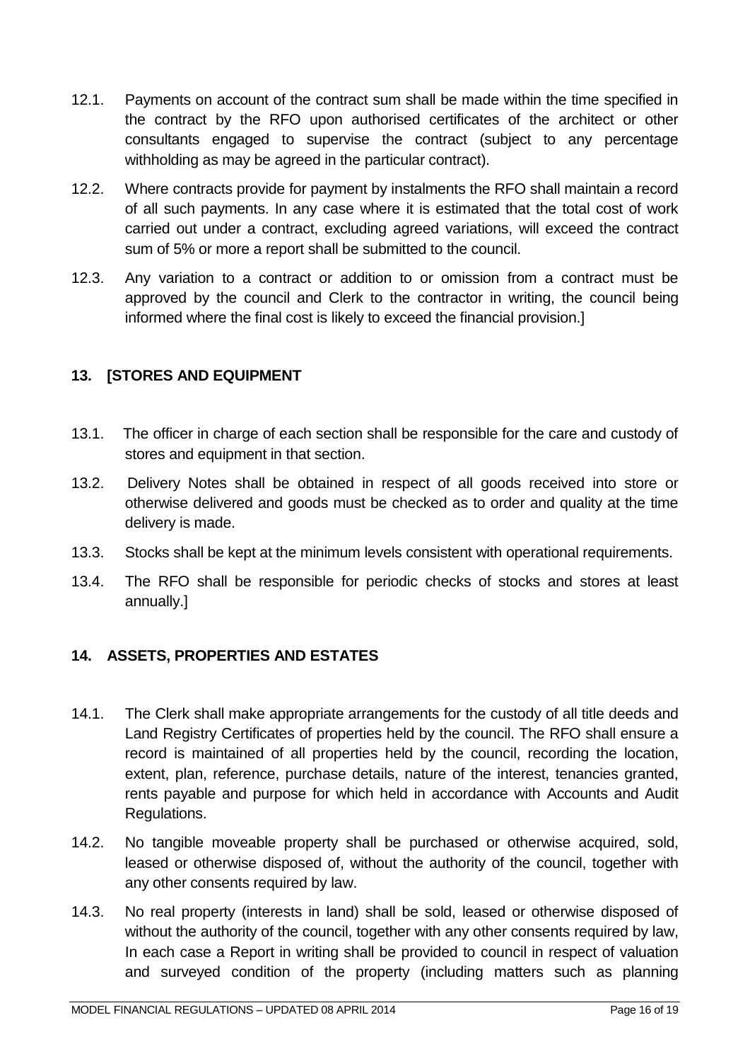- 12.1. Payments on account of the contract sum shall be made within the time specified in the contract by the RFO upon authorised certificates of the architect or other consultants engaged to supervise the contract (subject to any percentage withholding as may be agreed in the particular contract).
- 12.2. Where contracts provide for payment by instalments the RFO shall maintain a record of all such payments. In any case where it is estimated that the total cost of work carried out under a contract, excluding agreed variations, will exceed the contract sum of 5% or more a report shall be submitted to the council.
- 12.3. Any variation to a contract or addition to or omission from a contract must be approved by the council and Clerk to the contractor in writing, the council being informed where the final cost is likely to exceed the financial provision.]

# <span id="page-15-0"></span>**13. [STORES AND EQUIPMENT**

- 13.1. The officer in charge of each section shall be responsible for the care and custody of stores and equipment in that section.
- 13.2. Delivery Notes shall be obtained in respect of all goods received into store or otherwise delivered and goods must be checked as to order and quality at the time delivery is made.
- 13.3. Stocks shall be kept at the minimum levels consistent with operational requirements.
- 13.4. The RFO shall be responsible for periodic checks of stocks and stores at least annually.]

# <span id="page-15-1"></span>**14. ASSETS, PROPERTIES AND ESTATES**

- 14.1. The Clerk shall make appropriate arrangements for the custody of all title deeds and Land Registry Certificates of properties held by the council. The RFO shall ensure a record is maintained of all properties held by the council, recording the location, extent, plan, reference, purchase details, nature of the interest, tenancies granted, rents payable and purpose for which held in accordance with Accounts and Audit Regulations.
- 14.2. No tangible moveable property shall be purchased or otherwise acquired, sold, leased or otherwise disposed of, without the authority of the council, together with any other consents required by law.
- 14.3. No real property (interests in land) shall be sold, leased or otherwise disposed of without the authority of the council, together with any other consents required by law, In each case a Report in writing shall be provided to council in respect of valuation and surveyed condition of the property (including matters such as planning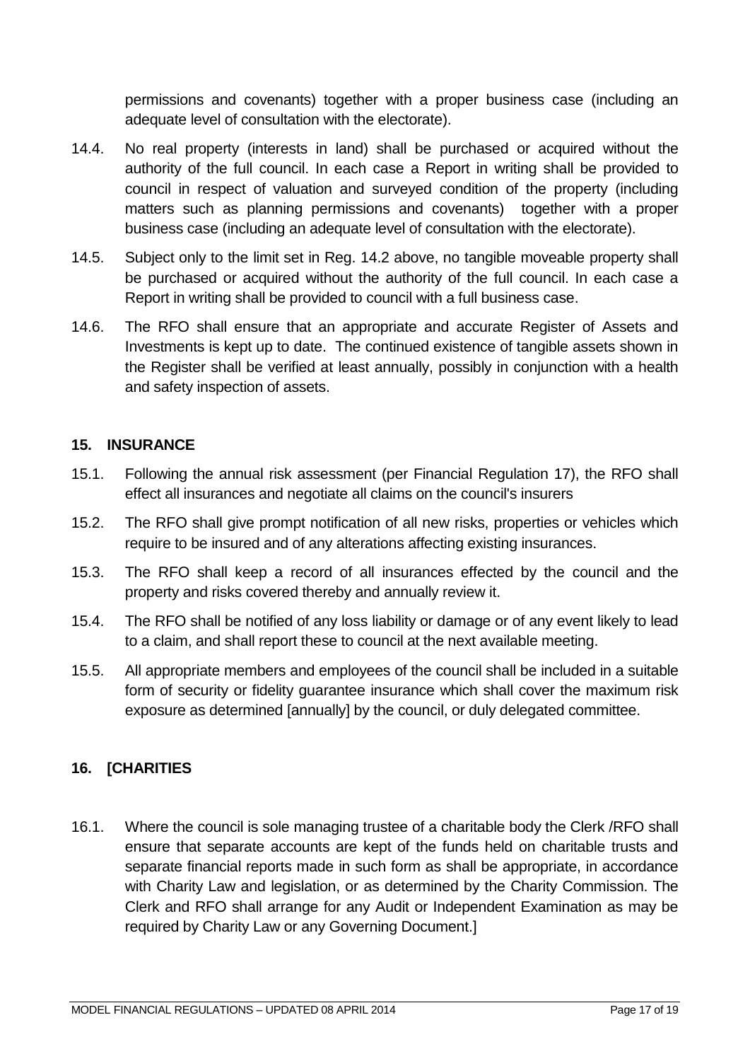permissions and covenants) together with a proper business case (including an adequate level of consultation with the electorate).

- 14.4. No real property (interests in land) shall be purchased or acquired without the authority of the full council. In each case a Report in writing shall be provided to council in respect of valuation and surveyed condition of the property (including matters such as planning permissions and covenants) together with a proper business case (including an adequate level of consultation with the electorate).
- 14.5. Subject only to the limit set in Reg. 14.2 above, no tangible moveable property shall be purchased or acquired without the authority of the full council. In each case a Report in writing shall be provided to council with a full business case.
- 14.6. The RFO shall ensure that an appropriate and accurate Register of Assets and Investments is kept up to date. The continued existence of tangible assets shown in the Register shall be verified at least annually, possibly in conjunction with a health and safety inspection of assets.

#### <span id="page-16-0"></span>**15. INSURANCE**

- 15.1. Following the annual risk assessment (per Financial Regulation 17), the RFO shall effect all insurances and negotiate all claims on the council's insurers
- 15.2. The RFO shall give prompt notification of all new risks, properties or vehicles which require to be insured and of any alterations affecting existing insurances.
- 15.3. The RFO shall keep a record of all insurances effected by the council and the property and risks covered thereby and annually review it.
- 15.4. The RFO shall be notified of any loss liability or damage or of any event likely to lead to a claim, and shall report these to council at the next available meeting.
- 15.5. All appropriate members and employees of the council shall be included in a suitable form of security or fidelity guarantee insurance which shall cover the maximum risk exposure as determined [annually] by the council, or duly delegated committee.

#### <span id="page-16-1"></span>**16. [CHARITIES**

16.1. Where the council is sole managing trustee of a charitable body the Clerk /RFO shall ensure that separate accounts are kept of the funds held on charitable trusts and separate financial reports made in such form as shall be appropriate, in accordance with Charity Law and legislation, or as determined by the Charity Commission. The Clerk and RFO shall arrange for any Audit or Independent Examination as may be required by Charity Law or any Governing Document.]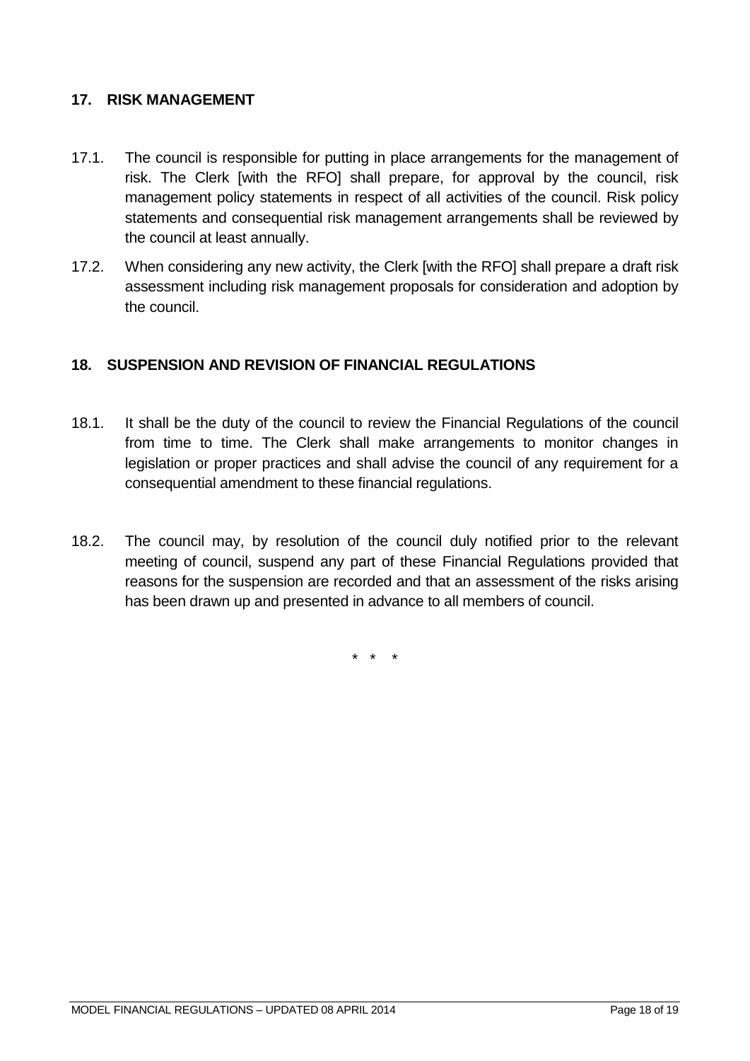#### <span id="page-17-0"></span>**17. RISK MANAGEMENT**

- 17.1. The council is responsible for putting in place arrangements for the management of risk. The Clerk [with the RFO] shall prepare, for approval by the council, risk management policy statements in respect of all activities of the council. Risk policy statements and consequential risk management arrangements shall be reviewed by the council at least annually.
- 17.2. When considering any new activity, the Clerk [with the RFO] shall prepare a draft risk assessment including risk management proposals for consideration and adoption by the council.

#### <span id="page-17-1"></span>**18. SUSPENSION AND REVISION OF FINANCIAL REGULATIONS**

- 18.1. It shall be the duty of the council to review the Financial Regulations of the council from time to time. The Clerk shall make arrangements to monitor changes in legislation or proper practices and shall advise the council of any requirement for a consequential amendment to these financial regulations.
- 18.2. The council may, by resolution of the council duly notified prior to the relevant meeting of council, suspend any part of these Financial Regulations provided that reasons for the suspension are recorded and that an assessment of the risks arising has been drawn up and presented in advance to all members of council.

\* \* \*